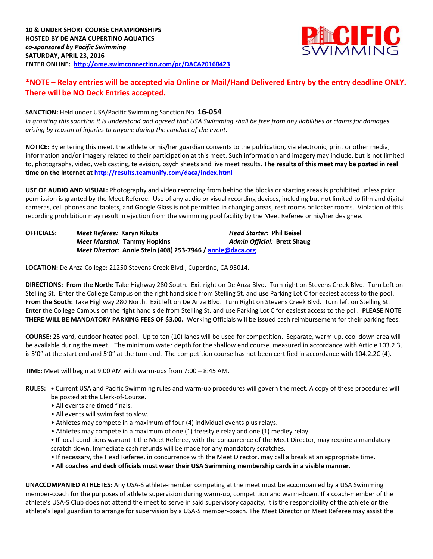

# **\*NOTE – Relay entries will be accepted via Online or Mail/Hand Delivered Entry by the entry deadline ONLY. There will be NO Deck Entries accepted.**

## **SANCTION:** Held under USA/Pacific Swimming Sanction No. **16-054**

*In granting this sanction it is understood and agreed that USA Swimming shall be free from any liabilities or claims for damages arising by reason of injuries to anyone during the conduct of the event.*

**NOTICE:** By entering this meet, the athlete or his/her guardian consents to the publication, via electronic, print or other media, information and/or imagery related to their participation at this meet. Such information and imagery may include, but is not limited to, photographs, video, web casting, television, psych sheets and live meet results. **The results of this meet may be posted in real time on the Internet at <http://results.teamunify.com/daca/index.html>**

**USE OF AUDIO AND VISUAL:** Photography and video recording from behind the blocks or starting areas is prohibited unless prior permission is granted by the Meet Referee. Use of any audio or visual recording devices, including but not limited to film and digital cameras, cell phones and tablets, and Google Glass is not permitted in changing areas, rest rooms or locker rooms. Violation of this recording prohibition may result in ejection from the swimming pool facility by the Meet Referee or his/her designee.

### **OFFICIALS:** *Meet Referee:* **Karyn Kikuta** *Head Starter:* **Phil Beisel** *Meet Marshal:* **Tammy Hopkins** *Admin Official:* **Brett Shaug** *Meet Director:* **Annie Stein (408) 253-7946 / [annie@daca.org](mailto:annie@daca.org)**

**LOCATION:** De Anza College: 21250 Stevens Creek Blvd., Cupertino, CA 95014.

**DIRECTIONS: From the North:** Take Highway 280 South. Exit right on De Anza Blvd. Turn right on Stevens Creek Blvd. Turn Left on Stelling St. Enter the College Campus on the right hand side from Stelling St. and use Parking Lot C for easiest access to the pool. **From the South:** Take Highway 280 North. Exit left on De Anza Blvd. Turn Right on Stevens Creek Blvd. Turn left on Stelling St. Enter the College Campus on the right hand side from Stelling St. and use Parking Lot C for easiest access to the poll. **PLEASE NOTE THERE WILL BE MANDATORY PARKING FEES OF \$3.00.** Working Officials will be issued cash reimbursement for their parking fees.

**COURSE:** 25 yard, outdoor heated pool. Up to ten (10) lanes will be used for competition. Separate, warm-up, cool down area will be available during the meet. The minimum water depth for the shallow end course, measured in accordance with Article 103.2.3, is 5'0" at the start end and 5'0" at the turn end. The competition course has not been certified in accordance with 104.2.2C (4).

**TIME:** Meet will begin at 9:00 AM with warm-ups from 7:00 – 8:45 AM.

- **RULES: •** Current USA and Pacific Swimming rules and warm-up procedures will govern the meet. A copy of these procedures will be posted at the Clerk-of-Course.
	- All events are timed finals.
	- All events will swim fast to slow.
	- Athletes may compete in a maximum of four (4) individual events plus relays.
	- Athletes may compete in a maximum of one (1) freestyle relay and one (1) medley relay.

**•** If local conditions warrant it the Meet Referee, with the concurrence of the Meet Director, may require a mandatory scratch down. Immediate cash refunds will be made for any mandatory scratches.

- If necessary, the Head Referee, in concurrence with the Meet Director, may call a break at an appropriate time.
- **All coaches and deck officials must wear their USA Swimming membership cards in a visible manner.**

**UNACCOMPANIED ATHLETES:** Any USA-S athlete-member competing at the meet must be accompanied by a USA Swimming member-coach for the purposes of athlete supervision during warm-up, competition and warm-down. If a coach-member of the athlete's USA-S Club does not attend the meet to serve in said supervisory capacity, it is the responsibility of the athlete or the athlete's legal guardian to arrange for supervision by a USA-S member-coach. The Meet Director or Meet Referee may assist the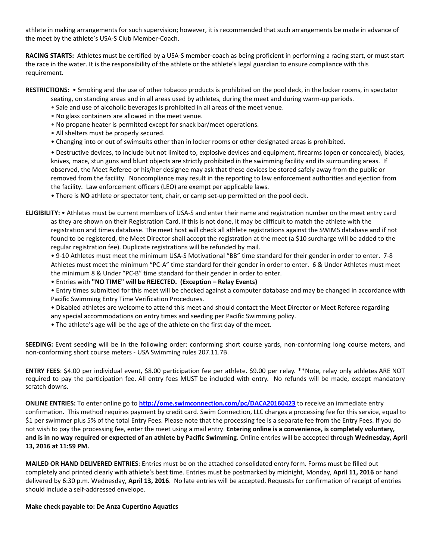athlete in making arrangements for such supervision; however, it is recommended that such arrangements be made in advance of the meet by the athlete's USA-S Club Member-Coach.

**RACING STARTS:** Athletes must be certified by a USA-S member-coach as being proficient in performing a racing start, or must start the race in the water. It is the responsibility of the athlete or the athlete's legal guardian to ensure compliance with this requirement.

**RESTRICTIONS:** • Smoking and the use of other tobacco products is prohibited on the pool deck, in the locker rooms, in spectator

- seating, on standing areas and in all areas used by athletes, during the meet and during warm-up periods.
- Sale and use of alcoholic beverages is prohibited in all areas of the meet venue.
- No glass containers are allowed in the meet venue.
- No propane heater is permitted except for snack bar/meet operations.
- All shelters must be properly secured.
- Changing into or out of swimsuits other than in locker rooms or other designated areas is prohibited.

• Destructive devices, to include but not limited to, explosive devices and equipment, firearms (open or concealed), blades, knives, mace, stun guns and blunt objects are strictly prohibited in the swimming facility and its surrounding areas. If observed, the Meet Referee or his/her designee may ask that these devices be stored safely away from the public or removed from the facility. Noncompliance may result in the reporting to law enforcement authorities and ejection from the facility. Law enforcement officers (LEO) are exempt per applicable laws.

• There is **NO** athlete or spectator tent, chair, or camp set-up permitted on the pool deck.

**ELIGIBILITY:** • Athletes must be current members of USA-S and enter their name and registration number on the meet entry card as they are shown on their Registration Card. If this is not done, it may be difficult to match the athlete with the registration and times database. The meet host will check all athlete registrations against the SWIMS database and if not found to be registered, the Meet Director shall accept the registration at the meet (a \$10 surcharge will be added to the regular registration fee). Duplicate registrations will be refunded by mail.

• 9-10 Athletes must meet the minimum USA-S Motivational "BB" time standard for their gender in order to enter. 7-8 Athletes must meet the minimum "PC-A" time standard for their gender in order to enter. 6 & Under Athletes must meet the minimum 8 & Under "PC-B" time standard for their gender in order to enter.

- Entries with **"NO TIME" will be REJECTED. (Exception – Relay Events)**
- Entry times submitted for this meet will be checked against a computer database and may be changed in accordance with Pacific Swimming Entry Time Verification Procedures.
- Disabled athletes are welcome to attend this meet and should contact the Meet Director or Meet Referee regarding any special accommodations on entry times and seeding per Pacific Swimming policy.
- The athlete's age will be the age of the athlete on the first day of the meet.

**SEEDING:** Event seeding will be in the following order: conforming short course yards, non-conforming long course meters, and non-conforming short course meters - USA Swimming rules 207.11.7B.

**ENTRY FEES**: \$4.00 per individual event, \$8.00 participation fee per athlete. \$9.00 per relay. \*\*Note, relay only athletes ARE NOT required to pay the participation fee. All entry fees MUST be included with entry. No refunds will be made, except mandatory scratch downs.

**ONLINE ENTRIES:** To enter online go to **<http://ome.swimconnection.com/pc/DACA20160423>** to receive an immediate entry confirmation. This method requires payment by credit card. Swim Connection, LLC charges a processing fee for this service, equal to \$1 per swimmer plus 5% of the total Entry Fees. Please note that the processing fee is a separate fee from the Entry Fees. If you do not wish to pay the processing fee, enter the meet using a mail entry. **Entering online is a convenience, is completely voluntary, and is in no way required or expected of an athlete by Pacific Swimming.** Online entries will be accepted through **Wednesday, April 13, 2016 at 11:59 PM.**

**MAILED OR HAND DELIVERED ENTRIES**: Entries must be on the attached consolidated entry form. Forms must be filled out completely and printed clearly with athlete's best time. Entries must be postmarked by midnight, Monday, **April 11, 2016** or hand delivered by 6:30 p.m. Wednesday, **April 13, 2016**. No late entries will be accepted. Requests for confirmation of receipt of entries should include a self-addressed envelope.

## **Make check payable to: De Anza Cupertino Aquatics**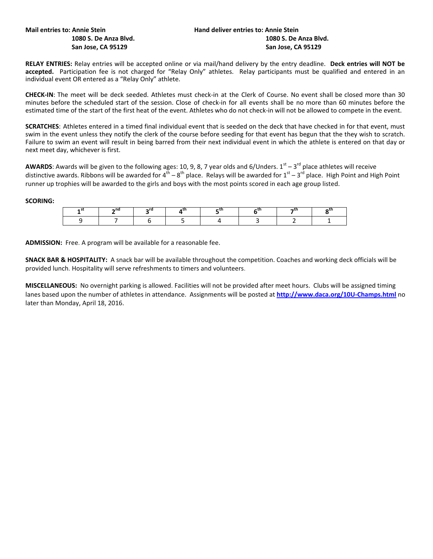# **Mail entries to: Annie Stein Hand deliver entries to: Annie Stein Hand deliver entries to: Annie Stein**

**RELAY ENTRIES:** Relay entries will be accepted online or via mail/hand delivery by the entry deadline. **Deck entries will NOT be accepted.** Participation fee is not charged for "Relay Only" athletes. Relay participants must be qualified and entered in an individual event OR entered as a "Relay Only" athlete.

**CHECK-IN**: The meet will be deck seeded. Athletes must check-in at the Clerk of Course. No event shall be closed more than 30 minutes before the scheduled start of the session. Close of check-in for all events shall be no more than 60 minutes before the estimated time of the start of the first heat of the event. Athletes who do not check-in will not be allowed to compete in the event.

**SCRATCHES**: Athletes entered in a timed final individual event that is seeded on the deck that have checked in for that event, must swim in the event unless they notify the clerk of the course before seeding for that event has begun that the they wish to scratch. Failure to swim an event will result in being barred from their next individual event in which the athlete is entered on that day or next meet day, whichever is first.

**AWARDS**: Awards will be given to the following ages: 10, 9, 8, 7 year olds and 6/Unders.  $1^{st} - 3^{rd}$  place athletes will receive distinctive awards. Ribbons will be awarded for 4<sup>th</sup> – 8<sup>th</sup> place. Relays will be awarded for 1<sup>st</sup> – 3<sup>rd</sup> place. High Point and High Point runner up trophies will be awarded to the girls and boys with the most points scored in each age group listed.

#### **SCORING:**

| $-nc$ |  |  |  |
|-------|--|--|--|
|       |  |  |  |

**ADMISSION:** Free. A program will be available for a reasonable fee.

**SNACK BAR & HOSPITALITY:** A snack bar will be available throughout the competition. Coaches and working deck officials will be provided lunch. Hospitality will serve refreshments to timers and volunteers.

**MISCELLANEOUS:** No overnight parking is allowed. Facilities will not be provided after meet hours. Clubs will be assigned timing lanes based upon the number of athletes in attendance. Assignments will be posted at **<http://www.daca.org/10U-Champs.html>** no later than Monday, April 18, 2016.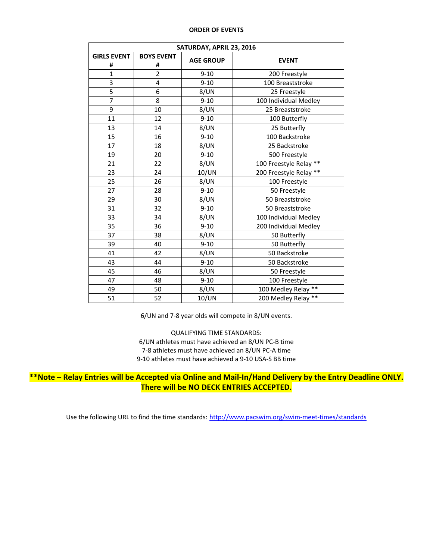#### **ORDER OF EVENTS**

| SATURDAY, APRIL 23, 2016 |                        |                  |                        |  |  |  |  |  |  |  |
|--------------------------|------------------------|------------------|------------------------|--|--|--|--|--|--|--|
| <b>GIRLS EVENT</b><br>#  | <b>BOYS EVENT</b><br># | <b>AGE GROUP</b> | <b>EVENT</b>           |  |  |  |  |  |  |  |
| $\mathbf{1}$             | $\overline{2}$         | $9 - 10$         | 200 Freestyle          |  |  |  |  |  |  |  |
| 3                        | 4                      | $9 - 10$         | 100 Breaststroke       |  |  |  |  |  |  |  |
| 5                        | 6                      | 8/UN             | 25 Freestyle           |  |  |  |  |  |  |  |
| 7                        | 8                      | $9 - 10$         | 100 Individual Medley  |  |  |  |  |  |  |  |
| 9                        | 10                     | 8/UN             | 25 Breaststroke        |  |  |  |  |  |  |  |
| 11                       | 12                     | $9 - 10$         | 100 Butterfly          |  |  |  |  |  |  |  |
| 13                       | 14                     | 8/UN             | 25 Butterfly           |  |  |  |  |  |  |  |
| 15                       | 16                     | $9 - 10$         | 100 Backstroke         |  |  |  |  |  |  |  |
| 17                       | 18                     | 8/UN             | 25 Backstroke          |  |  |  |  |  |  |  |
| 19                       | 20                     | $9 - 10$         | 500 Freestyle          |  |  |  |  |  |  |  |
| 21                       | 22                     | 8/UN             | 100 Freestyle Relay ** |  |  |  |  |  |  |  |
| 23                       | 24                     | 10/UN            | 200 Freestyle Relay ** |  |  |  |  |  |  |  |
| 25                       | 26                     | 8/UN             | 100 Freestyle          |  |  |  |  |  |  |  |
| 27                       | 28                     | $9 - 10$         | 50 Freestyle           |  |  |  |  |  |  |  |
| 29                       | 30                     | 8/UN             | 50 Breaststroke        |  |  |  |  |  |  |  |
| 31                       | 32                     | $9 - 10$         | 50 Breaststroke        |  |  |  |  |  |  |  |
| 33                       | 34                     | 8/UN             | 100 Individual Medley  |  |  |  |  |  |  |  |
| 35                       | 36                     | $9 - 10$         | 200 Individual Medley  |  |  |  |  |  |  |  |
| 37                       | 38                     | 8/UN             | 50 Butterfly           |  |  |  |  |  |  |  |
| 39                       | 40                     | $9 - 10$         | 50 Butterfly           |  |  |  |  |  |  |  |
| 41                       | 42                     | 8/UN             | 50 Backstroke          |  |  |  |  |  |  |  |
| 43                       | 44                     | $9 - 10$         | 50 Backstroke          |  |  |  |  |  |  |  |
| 45                       | 46                     | 8/UN             | 50 Freestyle           |  |  |  |  |  |  |  |
| 47                       | 48                     | $9 - 10$         | 100 Freestyle          |  |  |  |  |  |  |  |
| 49                       | 50                     | 8/UN             | 100 Medley Relay **    |  |  |  |  |  |  |  |
| 51                       | 52                     | 10/UN            | 200 Medley Relay **    |  |  |  |  |  |  |  |

6/UN and 7-8 year olds will compete in 8/UN events.

QUALIFYING TIME STANDARDS: 6/UN athletes must have achieved an 8/UN PC-B time 7-8 athletes must have achieved an 8/UN PC-A time 9-10 athletes must have achieved a 9-10 USA-S BB time

**\*\*Note – Relay Entries will be Accepted via Online and Mail-In/Hand Delivery by the Entry Deadline ONLY. There will be NO DECK ENTRIES ACCEPTED.** 

Use the following URL to find the time standards: <http://www.pacswim.org/swim-meet-times/standards>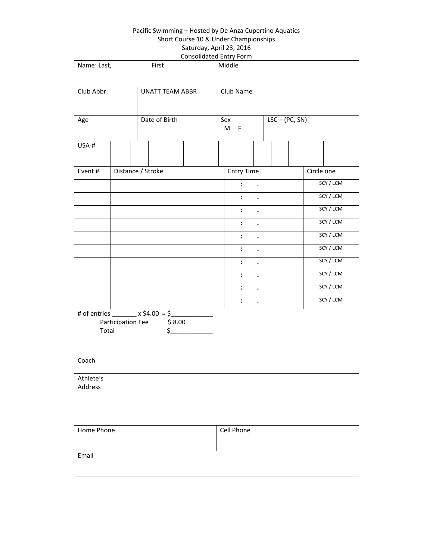|                                             |                        | Pacific Swimming - Hosted by De Anza Cupertino Aquatics |                   | Short Course 10 & Under Championships<br>Saturday, April 23, 2016 |            |  |                                          |                      |  |            |           |           |  |  |  |  |
|---------------------------------------------|------------------------|---------------------------------------------------------|-------------------|-------------------------------------------------------------------|------------|--|------------------------------------------|----------------------|--|------------|-----------|-----------|--|--|--|--|
| First<br>Name: Last,                        |                        |                                                         |                   |                                                                   |            |  | <b>Consolidated Entry Form</b><br>Middle |                      |  |            |           |           |  |  |  |  |
| Club Abbr.                                  | <b>UNATT TEAM ABBR</b> |                                                         |                   | Club Name                                                         |            |  |                                          |                      |  |            |           |           |  |  |  |  |
| Age                                         | Date of Birth          |                                                         |                   | $LSC - (PC, SN)$<br>Sex<br>M<br>F                                 |            |  |                                          |                      |  |            |           |           |  |  |  |  |
| USA-#                                       |                        |                                                         |                   |                                                                   |            |  |                                          |                      |  |            |           |           |  |  |  |  |
| Event#                                      |                        | Distance / Stroke                                       |                   |                                                                   |            |  | <b>Entry Time</b>                        |                      |  | Circle one |           |           |  |  |  |  |
|                                             |                        |                                                         |                   |                                                                   |            |  | $\ddot{\phantom{a}}$                     |                      |  |            | SCY / LCM |           |  |  |  |  |
|                                             |                        |                                                         |                   |                                                                   |            |  | $\ddot{\cdot}$                           | $\bullet$            |  |            |           | SCY / LCM |  |  |  |  |
|                                             |                        |                                                         |                   |                                                                   |            |  | $\ddot{\phantom{a}}$                     | $\ddot{\phantom{0}}$ |  |            |           | SCY / LCM |  |  |  |  |
|                                             |                        |                                                         |                   |                                                                   |            |  | $\ddot{\phantom{a}}$                     | $\bullet$            |  |            |           | SCY / LCM |  |  |  |  |
|                                             |                        |                                                         |                   |                                                                   |            |  | $\ddot{\phantom{a}}$                     |                      |  |            |           | SCY / LCM |  |  |  |  |
|                                             |                        |                                                         |                   |                                                                   |            |  | $\ddot{\phantom{a}}$                     | $\bullet$            |  |            |           | SCY / LCM |  |  |  |  |
|                                             |                        |                                                         |                   |                                                                   |            |  | $\ddot{\phantom{a}}$                     | $\ddot{\phantom{0}}$ |  |            |           | SCY / LCM |  |  |  |  |
|                                             |                        |                                                         |                   |                                                                   |            |  | $\ddot{\phantom{a}}$                     | $\bullet$            |  |            |           | SCY / LCM |  |  |  |  |
|                                             |                        |                                                         |                   |                                                                   |            |  | $\ddot{\phantom{a}}$                     | $\bullet$            |  |            |           | SCY / LCM |  |  |  |  |
|                                             |                        |                                                         |                   |                                                                   |            |  | $\ddot{\phantom{a}}$                     | $\bullet$            |  |            |           | SCY / LCM |  |  |  |  |
| # of entries $x \, \xi 4.00 = \xi$<br>Total | Participation Fee      |                                                         | \$8.00<br>$\zeta$ |                                                                   |            |  |                                          |                      |  |            |           |           |  |  |  |  |
| Coach                                       |                        |                                                         |                   |                                                                   |            |  |                                          |                      |  |            |           |           |  |  |  |  |
| Athlete's<br>Address                        |                        |                                                         |                   |                                                                   |            |  |                                          |                      |  |            |           |           |  |  |  |  |
| Home Phone                                  |                        |                                                         |                   |                                                                   | Cell Phone |  |                                          |                      |  |            |           |           |  |  |  |  |
| Email                                       |                        |                                                         |                   |                                                                   |            |  |                                          |                      |  |            |           |           |  |  |  |  |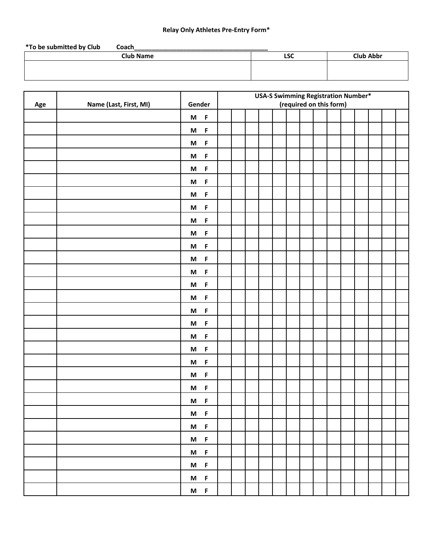## **Relay Only Athletes Pre-Entry Form\***

| <b>LSC</b> | <b>Club Abbr</b> |
|------------|------------------|
|            |                  |
|            |                  |
|            |                  |

|     |                        |                                                                                                                           | <b>USA-S Swimming Registration Number*</b> |  |  |  |  |  |  |                         |  |  |  |
|-----|------------------------|---------------------------------------------------------------------------------------------------------------------------|--------------------------------------------|--|--|--|--|--|--|-------------------------|--|--|--|
| Age | Name (Last, First, MI) | Gender                                                                                                                    |                                            |  |  |  |  |  |  | (required on this form) |  |  |  |
|     |                        | $M$ F                                                                                                                     |                                            |  |  |  |  |  |  |                         |  |  |  |
|     |                        | $M$ F                                                                                                                     |                                            |  |  |  |  |  |  |                         |  |  |  |
|     |                        | $\mathsf{F}$<br>M                                                                                                         |                                            |  |  |  |  |  |  |                         |  |  |  |
|     |                        | $M$ F                                                                                                                     |                                            |  |  |  |  |  |  |                         |  |  |  |
|     |                        | $\mathsf F$<br>$\boldsymbol{\mathsf{M}}$                                                                                  |                                            |  |  |  |  |  |  |                         |  |  |  |
|     |                        | $\mathsf F$<br>$\mathsf{M}% _{T}=\mathsf{M}_{T}\!\left( a,b\right) ,\ \mathsf{M}_{T}=\mathsf{M}_{T}\!\left( a,b\right) ,$ |                                            |  |  |  |  |  |  |                         |  |  |  |
|     |                        | $\mathsf F$<br>M                                                                                                          |                                            |  |  |  |  |  |  |                         |  |  |  |
|     |                        | $\mathsf F$<br>$\boldsymbol{\mathsf{M}}$                                                                                  |                                            |  |  |  |  |  |  |                         |  |  |  |
|     |                        | $\mathsf F$<br>$\boldsymbol{\mathsf{M}}$                                                                                  |                                            |  |  |  |  |  |  |                         |  |  |  |
|     |                        | $\mathsf F$<br>M                                                                                                          |                                            |  |  |  |  |  |  |                         |  |  |  |
|     |                        | $\mathsf F$<br>M                                                                                                          |                                            |  |  |  |  |  |  |                         |  |  |  |
|     |                        | $\mathsf F$<br>$\mathsf{M}% _{T}=\mathsf{M}_{T}\!\left( a,b\right) ,\ \mathsf{M}_{T}=\mathsf{M}_{T}\!\left( a,b\right) ,$ |                                            |  |  |  |  |  |  |                         |  |  |  |
|     |                        | $\mathsf F$<br>M                                                                                                          |                                            |  |  |  |  |  |  |                         |  |  |  |
|     |                        | $\mathsf F$<br>M                                                                                                          |                                            |  |  |  |  |  |  |                         |  |  |  |
|     |                        | $\mathsf F$<br>M                                                                                                          |                                            |  |  |  |  |  |  |                         |  |  |  |
|     |                        | $\mathsf F$<br>M                                                                                                          |                                            |  |  |  |  |  |  |                         |  |  |  |
|     |                        | $\mathsf F$<br>M                                                                                                          |                                            |  |  |  |  |  |  |                         |  |  |  |
|     |                        | $\mathsf F$<br>M                                                                                                          |                                            |  |  |  |  |  |  |                         |  |  |  |
|     |                        | $\mathsf F$<br>M                                                                                                          |                                            |  |  |  |  |  |  |                         |  |  |  |
|     |                        | $\mathsf F$<br>M                                                                                                          |                                            |  |  |  |  |  |  |                         |  |  |  |
|     |                        | M<br>$\mathsf F$                                                                                                          |                                            |  |  |  |  |  |  |                         |  |  |  |
|     |                        | $\mathsf F$<br>M                                                                                                          |                                            |  |  |  |  |  |  |                         |  |  |  |
|     |                        | $\mathsf F$<br>M                                                                                                          |                                            |  |  |  |  |  |  |                         |  |  |  |
|     |                        | $M$ F                                                                                                                     |                                            |  |  |  |  |  |  |                         |  |  |  |
|     |                        | $M$ F                                                                                                                     |                                            |  |  |  |  |  |  |                         |  |  |  |
|     |                        | $M$ F                                                                                                                     |                                            |  |  |  |  |  |  |                         |  |  |  |
|     |                        | $M$ F                                                                                                                     |                                            |  |  |  |  |  |  |                         |  |  |  |
|     |                        | $M$ F                                                                                                                     |                                            |  |  |  |  |  |  |                         |  |  |  |
|     |                        | $M$ F                                                                                                                     |                                            |  |  |  |  |  |  |                         |  |  |  |
|     |                        | $M$ F                                                                                                                     |                                            |  |  |  |  |  |  |                         |  |  |  |